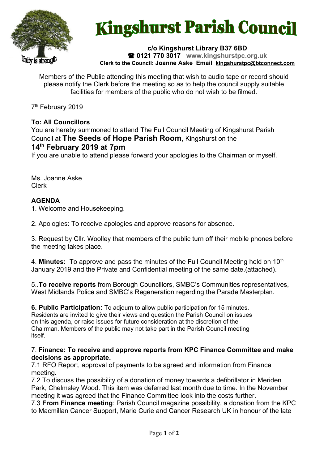

# **Kingshurst Parish Council**

**c/o Kingshurst Library B37 6BD 0121 770 3017 www.kingshurstpc.org.uk Clerk to the Council: Joanne Aske Email [kingshurstpc@btconnect.com](mailto:kingshurstpc@btconnect.com)**

Members of the Public attending this meeting that wish to audio tape or record should please notify the Clerk before the meeting so as to help the council supply suitable facilities for members of the public who do not wish to be filmed.

7<sup>th</sup> February 2019

## **To: All Councillors**

You are hereby summoned to attend The Full Council Meeting of Kingshurst Parish Council at **The Seeds of Hope Parish Room**, Kingshurst on the **14th February 2019 at 7pm**

If you are unable to attend please forward your apologies to the Chairman or myself.

Ms. Joanne Aske Clerk

## **AGENDA**

1. Welcome and Housekeeping.

2. Apologies: To receive apologies and approve reasons for absence.

3. Request by Cllr. Woolley that members of the public turn off their mobile phones before the meeting takes place.

4. **Minutes:** To approve and pass the minutes of the Full Council Meeting held on 10<sup>th</sup> January 2019 and the Private and Confidential meeting of the same date.(attached).

5..**To receive reports** from Borough Councillors, SMBC's Communities representatives, West Midlands Police and SMBC's Regeneration regarding the Parade Masterplan.

**6. Public Participation:** To adjourn to allow public participation for 15 minutes. Residents are invited to give their views and question the Parish Council on issues on this agenda, or raise issues for future consideration at the discretion of the Chairman. Members of the public may not take part in the Parish Council meeting itself.

#### 7. **Finance: To receive and approve reports from KPC Finance Committee and make decisions as appropriate.**

7.1 RFO Report, approval of payments to be agreed and information from Finance meeting.

7.2 To discuss the possibility of a donation of money towards a defibrillator in Meriden Park, Chelmsley Wood. This item was deferred last month due to time. In the November meeting it was agreed that the Finance Committee look into the costs further.

7.3 **From Finance meeting**: Parish Council magazine possibility, a donation from the KPC to Macmillan Cancer Support, Marie Curie and Cancer Research UK in honour of the late